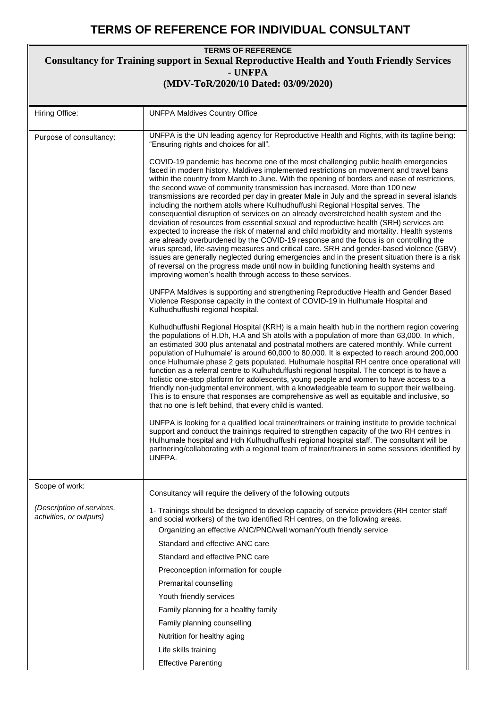## **TERMS OF REFERENCE FOR INDIVIDUAL CONSULTANT**

| <b>TERMS OF REFERENCE</b><br><b>Consultancy for Training support in Sexual Reproductive Health and Youth Friendly Services</b><br>- UNFPA |                                                                                                                                                                                                                                                                                                                                                                                                                                                                                                                                                                                                                                                                                                                                                                                                                                                                                                                                                                                                                                                                                                                                                                                                                                                                                                                                                                          |  |
|-------------------------------------------------------------------------------------------------------------------------------------------|--------------------------------------------------------------------------------------------------------------------------------------------------------------------------------------------------------------------------------------------------------------------------------------------------------------------------------------------------------------------------------------------------------------------------------------------------------------------------------------------------------------------------------------------------------------------------------------------------------------------------------------------------------------------------------------------------------------------------------------------------------------------------------------------------------------------------------------------------------------------------------------------------------------------------------------------------------------------------------------------------------------------------------------------------------------------------------------------------------------------------------------------------------------------------------------------------------------------------------------------------------------------------------------------------------------------------------------------------------------------------|--|
| (MDV-ToR/2020/10 Dated: 03/09/2020)                                                                                                       |                                                                                                                                                                                                                                                                                                                                                                                                                                                                                                                                                                                                                                                                                                                                                                                                                                                                                                                                                                                                                                                                                                                                                                                                                                                                                                                                                                          |  |
| Hiring Office:                                                                                                                            | <b>UNFPA Maldives Country Office</b>                                                                                                                                                                                                                                                                                                                                                                                                                                                                                                                                                                                                                                                                                                                                                                                                                                                                                                                                                                                                                                                                                                                                                                                                                                                                                                                                     |  |
| Purpose of consultancy:                                                                                                                   | UNFPA is the UN leading agency for Reproductive Health and Rights, with its tagline being:<br>"Ensuring rights and choices for all".                                                                                                                                                                                                                                                                                                                                                                                                                                                                                                                                                                                                                                                                                                                                                                                                                                                                                                                                                                                                                                                                                                                                                                                                                                     |  |
|                                                                                                                                           | COVID-19 pandemic has become one of the most challenging public health emergencies<br>faced in modern history. Maldives implemented restrictions on movement and travel bans<br>within the country from March to June. With the opening of borders and ease of restrictions,<br>the second wave of community transmission has increased. More than 100 new<br>transmissions are recorded per day in greater Male in July and the spread in several islands<br>including the northern atolls where Kulhudhuffushi Regional Hospital serves. The<br>consequential disruption of services on an already overstretched health system and the<br>deviation of resources from essential sexual and reproductive health (SRH) services are<br>expected to increase the risk of maternal and child morbidity and mortality. Health systems<br>are already overburdened by the COVID-19 response and the focus is on controlling the<br>virus spread, life-saving measures and critical care. SRH and gender-based violence (GBV)<br>issues are generally neglected during emergencies and in the present situation there is a risk<br>of reversal on the progress made until now in building functioning health systems and<br>improving women's health through access to these services.<br>UNFPA Maldives is supporting and strengthening Reproductive Health and Gender Based |  |
|                                                                                                                                           | Violence Response capacity in the context of COVID-19 in Hulhumale Hospital and<br>Kulhudhuffushi regional hospital.                                                                                                                                                                                                                                                                                                                                                                                                                                                                                                                                                                                                                                                                                                                                                                                                                                                                                                                                                                                                                                                                                                                                                                                                                                                     |  |
|                                                                                                                                           | Kulhudhuffushi Regional Hospital (KRH) is a main health hub in the northern region covering<br>the populations of H.Dh, H.A and Sh atolls with a population of more than 63,000. In which,<br>an estimated 300 plus antenatal and postnatal mothers are catered monthly. While current<br>population of Hulhumale' is around 60,000 to 80,000. It is expected to reach around 200,000<br>once Hulhumale phase 2 gets populated. Hulhumale hospital RH centre once operational will<br>function as a referral centre to Kulhuhduffushi regional hospital. The concept is to have a<br>holistic one-stop platform for adolescents, young people and women to have access to a<br>friendly non-judgmental environment, with a knowledgeable team to support their wellbeing.<br>This is to ensure that responses are comprehensive as well as equitable and inclusive, so<br>that no one is left behind, that every child is wanted.                                                                                                                                                                                                                                                                                                                                                                                                                                        |  |
|                                                                                                                                           | UNFPA is looking for a qualified local trainer/trainers or training institute to provide technical<br>support and conduct the trainings required to strengthen capacity of the two RH centres in<br>Hulhumale hospital and Hdh Kulhudhuffushi regional hospital staff. The consultant will be<br>partnering/collaborating with a regional team of trainer/trainers in some sessions identified by<br>UNFPA.                                                                                                                                                                                                                                                                                                                                                                                                                                                                                                                                                                                                                                                                                                                                                                                                                                                                                                                                                              |  |
| Scope of work:                                                                                                                            | Consultancy will require the delivery of the following outputs                                                                                                                                                                                                                                                                                                                                                                                                                                                                                                                                                                                                                                                                                                                                                                                                                                                                                                                                                                                                                                                                                                                                                                                                                                                                                                           |  |
| (Description of services,<br>activities, or outputs)                                                                                      | 1- Trainings should be designed to develop capacity of service providers (RH center staff<br>and social workers) of the two identified RH centres, on the following areas.<br>Organizing an effective ANC/PNC/well woman/Youth friendly service<br>Standard and effective ANC care<br>Standard and effective PNC care<br>Preconception information for couple<br>Premarital counselling<br>Youth friendly services<br>Family planning for a healthy family<br>Family planning counselling<br>Nutrition for healthy aging<br>Life skills training                                                                                                                                                                                                                                                                                                                                                                                                                                                                                                                                                                                                                                                                                                                                                                                                                         |  |
|                                                                                                                                           | <b>Effective Parenting</b>                                                                                                                                                                                                                                                                                                                                                                                                                                                                                                                                                                                                                                                                                                                                                                                                                                                                                                                                                                                                                                                                                                                                                                                                                                                                                                                                               |  |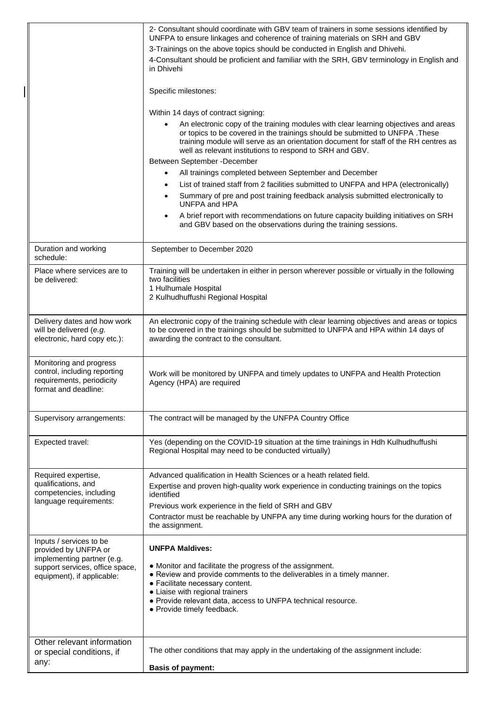|                                                                                                                                                | 2- Consultant should coordinate with GBV team of trainers in some sessions identified by<br>UNFPA to ensure linkages and coherence of training materials on SRH and GBV<br>3-Trainings on the above topics should be conducted in English and Dhivehi.<br>4-Consultant should be proficient and familiar with the SRH, GBV terminology in English and<br>in Dhivehi<br>Specific milestones:<br>Within 14 days of contract signing:<br>An electronic copy of the training modules with clear learning objectives and areas<br>or topics to be covered in the trainings should be submitted to UNFPA. These<br>training module will serve as an orientation document for staff of the RH centres as<br>well as relevant institutions to respond to SRH and GBV.<br>Between September - December<br>All trainings completed between September and December<br>$\bullet$<br>List of trained staff from 2 facilities submitted to UNFPA and HPA (electronically)<br>$\bullet$<br>Summary of pre and post training feedback analysis submitted electronically to<br>$\bullet$<br>UNFPA and HPA<br>A brief report with recommendations on future capacity building initiatives on SRH<br>$\bullet$<br>and GBV based on the observations during the training sessions. |
|------------------------------------------------------------------------------------------------------------------------------------------------|----------------------------------------------------------------------------------------------------------------------------------------------------------------------------------------------------------------------------------------------------------------------------------------------------------------------------------------------------------------------------------------------------------------------------------------------------------------------------------------------------------------------------------------------------------------------------------------------------------------------------------------------------------------------------------------------------------------------------------------------------------------------------------------------------------------------------------------------------------------------------------------------------------------------------------------------------------------------------------------------------------------------------------------------------------------------------------------------------------------------------------------------------------------------------------------------------------------------------------------------------------------|
| Duration and working<br>schedule:                                                                                                              | September to December 2020                                                                                                                                                                                                                                                                                                                                                                                                                                                                                                                                                                                                                                                                                                                                                                                                                                                                                                                                                                                                                                                                                                                                                                                                                                     |
| Place where services are to<br>be delivered:                                                                                                   | Training will be undertaken in either in person wherever possible or virtually in the following<br>two facilities<br>1 Hulhumale Hospital<br>2 Kulhudhuffushi Regional Hospital                                                                                                                                                                                                                                                                                                                                                                                                                                                                                                                                                                                                                                                                                                                                                                                                                                                                                                                                                                                                                                                                                |
| Delivery dates and how work<br>will be delivered (e.g.<br>electronic, hard copy etc.):                                                         | An electronic copy of the training schedule with clear learning objectives and areas or topics<br>to be covered in the trainings should be submitted to UNFPA and HPA within 14 days of<br>awarding the contract to the consultant.                                                                                                                                                                                                                                                                                                                                                                                                                                                                                                                                                                                                                                                                                                                                                                                                                                                                                                                                                                                                                            |
| Monitoring and progress<br>control, including reporting<br>requirements, periodicity<br>format and deadline:                                   | Work will be monitored by UNFPA and timely updates to UNFPA and Health Protection<br>Agency (HPA) are required                                                                                                                                                                                                                                                                                                                                                                                                                                                                                                                                                                                                                                                                                                                                                                                                                                                                                                                                                                                                                                                                                                                                                 |
| Supervisory arrangements:                                                                                                                      | The contract will be managed by the UNFPA Country Office                                                                                                                                                                                                                                                                                                                                                                                                                                                                                                                                                                                                                                                                                                                                                                                                                                                                                                                                                                                                                                                                                                                                                                                                       |
| Expected travel:                                                                                                                               | Yes (depending on the COVID-19 situation at the time trainings in Hdh Kulhudhuffushi<br>Regional Hospital may need to be conducted virtually)                                                                                                                                                                                                                                                                                                                                                                                                                                                                                                                                                                                                                                                                                                                                                                                                                                                                                                                                                                                                                                                                                                                  |
| Required expertise,<br>qualifications, and<br>competencies, including<br>language requirements:                                                | Advanced qualification in Health Sciences or a heath related field.<br>Expertise and proven high-quality work experience in conducting trainings on the topics<br>identified<br>Previous work experience in the field of SRH and GBV<br>Contractor must be reachable by UNFPA any time during working hours for the duration of<br>the assignment.                                                                                                                                                                                                                                                                                                                                                                                                                                                                                                                                                                                                                                                                                                                                                                                                                                                                                                             |
| Inputs / services to be<br>provided by UNFPA or<br>implementing partner (e.g.<br>support services, office space,<br>equipment), if applicable: | <b>UNFPA Maldives:</b><br>• Monitor and facilitate the progress of the assignment.<br>• Review and provide comments to the deliverables in a timely manner.<br>• Facilitate necessary content.<br>• Liaise with regional trainers<br>• Provide relevant data, access to UNFPA technical resource.<br>• Provide timely feedback.                                                                                                                                                                                                                                                                                                                                                                                                                                                                                                                                                                                                                                                                                                                                                                                                                                                                                                                                |
| Other relevant information<br>or special conditions, if<br>any:                                                                                | The other conditions that may apply in the undertaking of the assignment include:<br><b>Basis of payment:</b>                                                                                                                                                                                                                                                                                                                                                                                                                                                                                                                                                                                                                                                                                                                                                                                                                                                                                                                                                                                                                                                                                                                                                  |

 $\overline{\phantom{a}}$